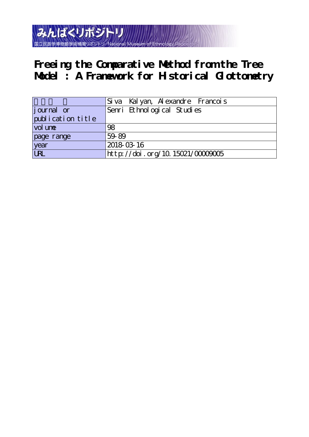

**Freeing the Comparative Method from the Tree Model : A Framework for Historical Glottometry**

|                   | Siva Kalyan, Alexandre Francois |
|-------------------|---------------------------------|
| journal or        | Senri Ethnological Studies      |
| publication title |                                 |
| vol une           | 98                              |
| page range        | 59-89                           |
| year              | 2018-03-16                      |
| URL               | http://doi.org/10.15021/0000005 |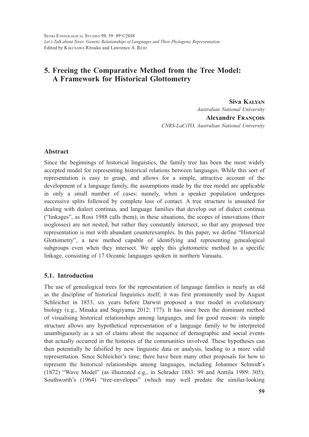# **5. Freeing the Comparative Method from the Tree Model: A Framework for Historical Glottometry**

**Siva Kalyan** *Australian National University* **Alexandre François** *CNRS-LaCiTO, Australian National University*

# **Abstract**

Since the beginnings of historical linguistics, the family tree has been the most widely accepted model for representing historical relations between languages. While this sort of representation is easy to grasp, and allows for a simple, attractive account of the development of a language family, the assumptions made by the tree model are applicable in only a small number of cases: namely, when a speaker population undergoes successive splits followed by complete loss of contact. A tree structure is unsuited for dealing with dialect continua, and language families that develop out of dialect continua ("linkages", as Ross 1988 calls them); in these situations, the scopes of innovations (their isoglosses) are not nested, but rather they constantly intersect, so that any proposed tree representation is met with abundant counterexamples. In this paper, we define "Historical Glottometry", a new method capable of identifying and representing genealogical subgroups even when they intersect. We apply this glottometric method to a specific linkage, consisting of 17 Oceanic languages spoken in northern Vanuatu.

# **5.1. Introduction**

The use of genealogical trees for the representation of language families is nearly as old as the discipline of historical linguistics itself; it was first prominently used by August Schleicher in 1853, six years before Darwin proposed a tree model in evolutionary biology (e.g., Minaka and Sugiyama 2012: 177). It has since been the dominant method of visualising historical relationships among languages, and for good reason: its simple structure allows any hypothetical representation of a language family to be interpreted unambiguously as a set of claims about the sequence of demographic and social events that actually occurred in the histories of the communities involved. These hypotheses can then potentially be falsified by new linguistic data or analysis, leading to a more valid representation. Since Schleicher's time, there have been many other proposals for how to represent the historical relationships among languages, including Johannes Schmidt's (1872) "Wave Model" (as illustrated e.g., in Schrader 1883: 99 and Anttila 1989: 305); Southworth's (1964) "tree-envelopes" (which may well predate the similar-looking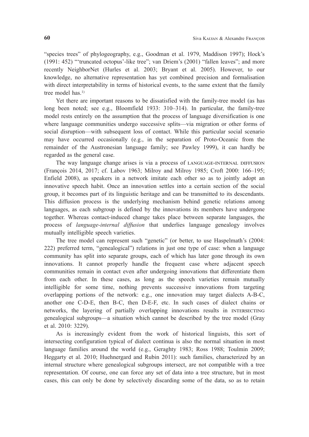"species trees" of phylogeography, e.g., Goodman et al. 1979, Maddison 1997); Hock's (1991: 452) "'truncated octopus'-like tree"; van Driem's (2001) "fallen leaves"; and more recently NeighborNet (Hurles et al. 2003; Bryant et al. 2005). However, to our knowledge, no alternative representation has yet combined precision and formalisation with direct interpretability in terms of historical events, to the same extent that the family tree model has.<sup>1)</sup>

Yet there are important reasons to be dissatisfied with the family-tree model (as has long been noted; see e.g., Bloomfield 1933: 310–314). In particular, the family-tree model rests entirely on the assumption that the process of language diversification is one where language communities undergo successive splits—via migration or other forms of social disruption—with subsequent loss of contact. While this particular social scenario may have occurred occasionally (e.g., in the separation of Proto-Oceanic from the remainder of the Austronesian language family; see Pawley 1999), it can hardly be regarded as the general case.

The way language change arises is via a process of language-internal diffusion (François 2014, 2017; cf. Labov 1963; Milroy and Milroy 1985; Croft 2000: 166–195; Enfield 2008), as speakers in a network imitate each other so as to jointly adopt an innovative speech habit. Once an innovation settles into a certain section of the social group, it becomes part of its linguistic heritage and can be transmitted to its descendants. This diffusion process is the underlying mechanism behind genetic relations among languages, as each subgroup is defined by the innovations its members have undergone together. Whereas contact-induced change takes place between separate languages, the process of *language-internal diffusion* that underlies language genealogy involves mutually intelligible speech varieties.

The tree model can represent such "genetic" (or better, to use Haspelmath's (2004: 222) preferred term, "genealogical") relations in just one type of case: when a language community has split into separate groups, each of which has later gone through its own innovations. It cannot properly handle the frequent case where adjacent speech communities remain in contact even after undergoing innovations that differentiate them from each other. In these cases, as long as the speech varieties remain mutually intelligible for some time, nothing prevents successive innovations from targeting overlapping portions of the network: e.g., one innovation may target dialects A-B-C, another one C-D-E, then B-C, then D-E-F, etc. In such cases of dialect chains or networks, the layering of partially overlapping innovations results in intersecting genealogical subgroups—a situation which cannot be described by the tree model (Gray et al. 2010: 3229).

As is increasingly evident from the work of historical linguists, this sort of intersecting configuration typical of dialect continua is also the normal situation in most language families around the world (e.g., Geraghty 1983; Ross 1988; Toulmin 2009; Heggarty et al. 2010; Huehnergard and Rubin 2011): such families, characterized by an internal structure where genealogical subgroups intersect, are not compatible with a tree representation. Of course, one can force any set of data into a tree structure, but in most cases, this can only be done by selectively discarding some of the data, so as to retain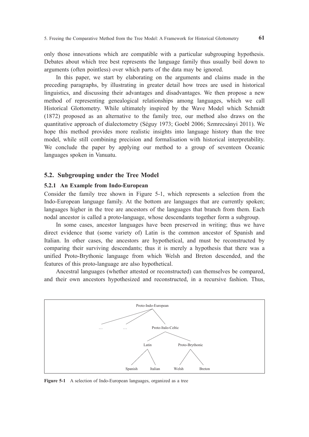only those innovations which are compatible with a particular subgrouping hypothesis. Debates about which tree best represents the language family thus usually boil down to arguments (often pointless) over which parts of the data may be ignored.

In this paper, we start by elaborating on the arguments and claims made in the preceding paragraphs, by illustrating in greater detail how trees are used in historical linguistics, and discussing their advantages and disadvantages. We then propose a new method of representing genealogical relationships among languages, which we call Historical Glottometry. While ultimately inspired by the Wave Model which Schmidt (1872) proposed as an alternative to the family tree, our method also draws on the quantitative approach of dialectometry (Séguy 1973; Goebl 2006; Szmrecsányi 2011). We hope this method provides more realistic insights into language history than the tree model, while still combining precision and formalisation with historical interpretability. We conclude the paper by applying our method to a group of seventeen Oceanic languages spoken in Vanuatu.

# **5.2. Subgrouping under the Tree Model**

## **5.2.1 An Example from Indo-European**

Consider the family tree shown in Figure 5-1, which represents a selection from the Indo-European language family. At the bottom are languages that are currently spoken; languages higher in the tree are ancestors of the languages that branch from them. Each nodal ancestor is called a proto-language, whose descendants together form a subgroup.

In some cases, ancestor languages have been preserved in writing; thus we have direct evidence that (some variety of) Latin is the common ancestor of Spanish and Italian. In other cases, the ancestors are hypothetical, and must be reconstructed by comparing their surviving descendants; thus it is merely a hypothesis that there was a unified Proto-Brythonic language from which Welsh and Breton descended, and the features of this proto-language are also hypothetical.

Ancestral languages (whether attested or reconstructed) can themselves be compared, and their own ancestors hypothesized and reconstructed, in a recursive fashion. Thus,



**Figure 5-1** A selection of Indo-European languages, organized as a tree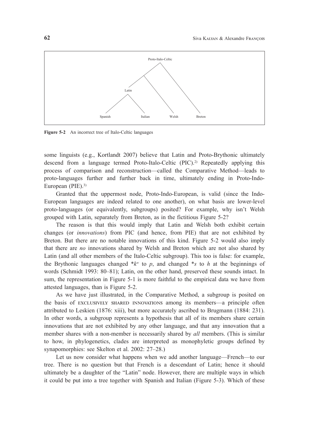

**Figure 5-2** An incorrect tree of Italo-Celtic languages

some linguists (e.g., Kortlandt 2007) believe that Latin and Proto-Brythonic ultimately descend from a language termed Proto-Italo-Celtic (PIC).2) Repeatedly applying this process of comparison and reconstruction—called the Comparative Method—leads to proto-languages further and further back in time, ultimately ending in Proto-Indo-European (PIE).3)

Granted that the uppermost node, Proto-Indo-European, is valid (since the Indo-European languages are indeed related to one another), on what basis are lower-level proto-languages (or equivalently, subgroups) posited? For example, why isn't Welsh grouped with Latin, separately from Breton, as in the fictitious Figure 5-2?

The reason is that this would imply that Latin and Welsh both exhibit certain changes (or *innovations*) from PIC (and hence, from PIE) that are not exhibited by Breton. But there are no notable innovations of this kind. Figure 5-2 would also imply that there are *no* innovations shared by Welsh and Breton which are not also shared by Latin (and all other members of the Italo-Celtic subgroup). This too is false: for example, the Brythonic languages changed  $*_{k}^{w}$  to p, and changed  $*_{s}$  to h at the beginnings of words (Schmidt 1993: 80–81); Latin, on the other hand, preserved these sounds intact. In sum, the representation in Figure 5-1 is more faithful to the empirical data we have from attested languages, than is Figure 5-2.

As we have just illustrated, in the Comparative Method, a subgroup is posited on the basis of eXclusiVely sHared innoVations among its members—a principle often attributed to Leskien (1876: xiii), but more accurately ascribed to Brugmann (1884: 231). In other words, a subgroup represents a hypothesis that all of its members share certain innovations that are not exhibited by any other language, and that any innovation that a member shares with a non-member is necessarily shared by *all* members. (This is similar to how, in phylogenetics, clades are interpreted as monophyletic groups defined by synapomorphies: see Skelton et al. 2002: 27–28.)

Let us now consider what happens when we add another language—French—to our tree. There is no question but that French is a descendant of Latin; hence it should ultimately be a daughter of the "Latin" node. However, there are multiple ways in which it could be put into a tree together with Spanish and Italian (Figure 5-3). Which of these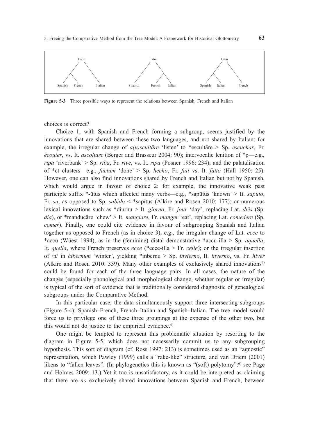

**Figure 5-3** Three possible ways to represent the relations between Spanish, French and Italian

choices is correct?

Choice 1, with Spanish and French forming a subgroup, seems justified by the innovations that are shared between these two languages, and not shared by Italian: for example, the irregular change of *a(u)scultāre* 'listen' to \*escultāre > Sp. *escuchar*, Fr. *écouter*, vs. It. *ascoltare* (Berger and Brasseur 2004: 90); intervocalic lenition of \*p—e.g., *rīpa* 'riverbank' > Sp. *riba*, Fr. *rive*, vs. It. *ripa* (Posner 1996: 234); and the palatalisation of \*ct clusters—e.g., *factum* 'done' > Sp. *hecho*, Fr. *fait* vs. It. *fatto* (Hall 1950: 25). However, one can also find innovations shared by French and Italian but not by Spanish, which would argue in favour of choice 2: for example, the innovative weak past participle suffix \*-ūtus which affected many verbs—e.g., \*sapūtus 'known' > It. *saputo*, Fr. *su*, as opposed to Sp. *sabido* < \*sapītus (Alkire and Rosen 2010: 177); or numerous lexical innovations such as \*diurnu > It. *giorno*, Fr. *jour* 'day', replacing Lat. *diēs* (Sp. *día*), or \*manducāre 'chew' > It. *mangiare*, Fr. *manger* 'eat', replacing Lat. *comedere* (Sp. *comer*). Finally, one could cite evidence in favour of subgrouping Spanish and Italian together as opposed to French (as in choice 3), e.g., the irregular change of Lat. *ecce* to \*accu (Wüest 1994), as in the (feminine) distal demonstrative \*accu-illa > Sp. *aquella*, It. *quella*, where French preserves *ecce* (\*ecce-illa > Fr. *celle*); or the irregular insertion of /n/ in *hibernum* 'winter', yielding \*inbernu > Sp. *invierno*, It. *inverno*, vs. Fr. *hiver* (Alkire and Rosen 2010: 339). Many other examples of exclusively shared innovations<sup>4)</sup> could be found for each of the three language pairs. In all cases, the nature of the changes (especially phonological and morphological change, whether regular or irregular) is typical of the sort of evidence that is traditionally considered diagnostic of genealogical subgroups under the Comparative Method.

In this particular case, the data simultaneously support three intersecting subgroups (Figure 5-4): Spanish–French, French–Italian and Spanish–Italian. The tree model would force us to privilege one of these three groupings at the expense of the other two, but this would not do justice to the empirical evidence.<sup>5)</sup>

One might be tempted to represent this problematic situation by resorting to the diagram in Figure 5-5, which does not necessarily commit us to any subgrouping hypothesis. This sort of diagram (cf. Ross 1997: 213) is sometimes used as an "agnostic" representation, which Pawley (1999) calls a "rake-like" structure, and van Driem (2001) likens to "fallen leaves". (In phylogenetics this is known as "(soft) polytomy":<sup>6)</sup> see Page and Holmes 2009: 13.) Yet it too is unsatisfactory, as it could be interpreted as claiming that there are *no* exclusively shared innovations between Spanish and French, between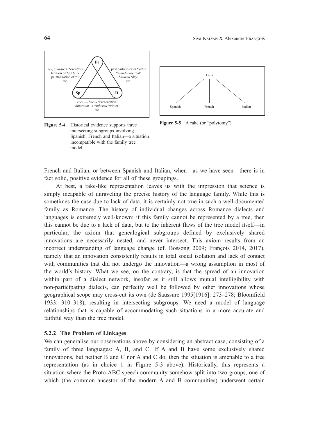

**Figure 5-4** Historical evidence supports three intersecting subgroups involving Spanish, French and Italian—a situation incompatible with the family tree model.



**Figure 5-5** A rake (or "polytomy")

French and Italian, or between Spanish and Italian, when—as we have seen—there is in fact solid, positive evidence for all of these groupings.

At best, a rake-like representation leaves us with the impression that science is simply incapable of unraveling the precise history of the language family. While this is sometimes the case due to lack of data, it is certainly not true in such a well-documented family as Romance. The history of individual changes across Romance dialects and languages is extremely well-known: if this family cannot be represented by a tree, then this cannot be due to a lack of data, but to the inherent flaws of the tree model itself—in particular, the axiom that genealogical subgroups defined by exclusively shared innovations are necessarily nested, and never intersect. This axiom results from an incorrect understanding of language change (cf. Bossong 2009; François 2014, 2017), namely that an innovation consistently results in total social isolation and lack of contact with communities that did not undergo the innovation—a wrong assumption in most of the world's history. What we see, on the contrary, is that the spread of an innovation within part of a dialect network, insofar as it still allows mutual intelligibility with non-participating dialects, can perfectly well be followed by other innovations whose geographical scope may cross-cut its own (de Saussure 1995[1916]: 273–278; Bloomfield 1933: 310–318), resulting in intersecting subgroups. We need a model of language relationships that is capable of accommodating such situations in a more accurate and faithful way than the tree model.

### **5.2.2 The Problem of Linkages**

We can generalise our observations above by considering an abstract case, consisting of a family of three languages: A, B, and C. If A and B have some exclusively shared innovations, but neither B and C nor A and C do, then the situation is amenable to a tree representation (as in choice 1 in Figure 5-3 above). Historically, this represents a situation where the Proto-ABC speech community somehow split into two groups, one of which (the common ancestor of the modern A and B communities) underwent certain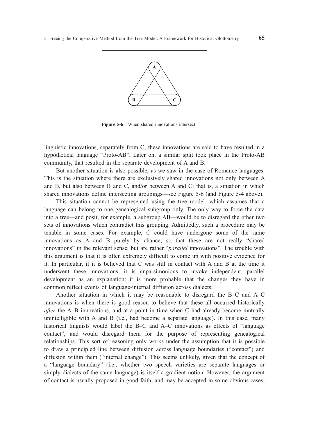

**Figure 5-6** When shared innovations intersect

linguistic innovations, separately from C; these innovations are said to have resulted in a hypothetical language "Proto-AB". Later on, a similar split took place in the Proto-AB community, that resulted in the separate development of A and B.

But another situation is also possible, as we saw in the case of Romance languages. This is the situation where there are exclusively shared innovations not only between A and B, but also between B and C, and/or between A and C: that is, a situation in which shared innovations define intersecting groupings—see Figure 5-6 (and Figure 5-4 above).

This situation cannot be represented using the tree model, which assumes that a language can belong to one genealogical subgroup only. The only way to force the data into a tree—and posit, for example, a subgroup AB—would be to disregard the other two sets of innovations which contradict this grouping. Admittedly, such a procedure may be tenable in some cases. For example, C could have undergone some of the same innovations as A and B purely by chance, so that these are not really "shared innovations" in the relevant sense, but are rather "*parallel* innovations". The trouble with this argument is that it is often extremely difficult to come up with positive evidence for it. In particular, if it is believed that C was still in contact with A and B at the time it underwent these innovations, it is unparsimonious to invoke independent, parallel development as an explanation: it is more probable that the changes they have in common reflect events of language-internal diffusion across dialects.

Another situation in which it may be reasonable to disregard the B–C and A–C innovations is when there is good reason to believe that these all occurred historically *after* the A–B innovations, and at a point in time when C had already become mutually unintelligible with A and B (i.e., had become a separate language). In this case, many historical linguists would label the B–C and A–C innovations as effects of "language contact", and would disregard them for the purpose of representing genealogical relationships. This sort of reasoning only works under the assumption that it is possible to draw a principled line between diffusion across language boundaries ("contact") and diffusion within them ("internal change"). This seems unlikely, given that the concept of a "language boundary" (i.e., whether two speech varieties are separate languages or simply dialects of the same language) is itself a gradient notion. However, the argument of contact is usually proposed in good faith, and may be accepted in some obvious cases,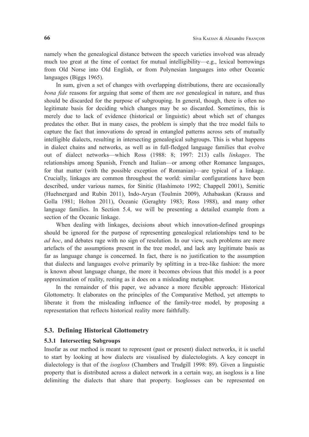namely when the genealogical distance between the speech varieties involved was already much too great at the time of contact for mutual intelligibility—e.g., lexical borrowings from Old Norse into Old English, or from Polynesian languages into other Oceanic languages (Biggs 1965).

In sum, given a set of changes with overlapping distributions, there are occasionally *bona fide* reasons for arguing that some of them are *not* genealogical in nature, and thus should be discarded for the purpose of subgrouping. In general, though, there is often no legitimate basis for deciding which changes may be so discarded. Sometimes, this is merely due to lack of evidence (historical or linguistic) about which set of changes predates the other. But in many cases, the problem is simply that the tree model fails to capture the fact that innovations do spread in entangled patterns across sets of mutually intelligible dialects, resulting in intersecting genealogical subgroups. This is what happens in dialect chains and networks, as well as in full-fledged language families that evolve out of dialect networks—which Ross (1988: 8; 1997: 213) calls *linkages*. The relationships among Spanish, French and Italian—or among other Romance languages, for that matter (with the possible exception of Romanian)—are typical of a linkage. Crucially, linkages are common throughout the world: similar configurations have been described, under various names, for Sinitic (Hashimoto 1992; Chappell 2001), Semitic (Huehnergard and Rubin 2011), Indo-Aryan (Toulmin 2009), Athabaskan (Krauss and Golla 1981; Holton 2011), Oceanic (Geraghty 1983; Ross 1988), and many other language families. In Section 5.4, we will be presenting a detailed example from a section of the Oceanic linkage.

When dealing with linkages, decisions about which innovation-defined groupings should be ignored for the purpose of representing genealogical relationships tend to be *ad hoc*, and debates rage with no sign of resolution. In our view, such problems are mere artefacts of the assumptions present in the tree model, and lack any legitimate basis as far as language change is concerned. In fact, there is no justification to the assumption that dialects and languages evolve primarily by splitting in a tree-like fashion: the more is known about language change, the more it becomes obvious that this model is a poor approximation of reality, resting as it does on a misleading metaphor.

In the remainder of this paper, we advance a more flexible approach: Historical Glottometry. It elaborates on the principles of the Comparative Method, yet attempts to liberate it from the misleading influence of the family-tree model, by proposing a representation that reflects historical reality more faithfully.

# **5.3. Defining Historical Glottometry**

### **5.3.1 Intersecting Subgroups**

Insofar as our method is meant to represent (past or present) dialect networks, it is useful to start by looking at how dialects are visualised by dialectologists. A key concept in dialectology is that of the *isogloss* (Chambers and Trudgill 1998: 89). Given a linguistic property that is distributed across a dialect network in a certain way, an isogloss is a line delimiting the dialects that share that property. Isoglosses can be represented on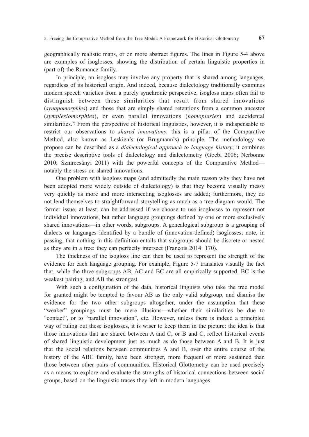geographically realistic maps, or on more abstract figures. The lines in Figure 5-4 above are examples of isoglosses, showing the distribution of certain linguistic properties in (part of) the Romance family.

In principle, an isogloss may involve any property that is shared among languages, regardless of its historical origin. And indeed, because dialectology traditionally examines modern speech varieties from a purely synchronic perspective, isogloss maps often fail to distinguish between those similarities that result from shared innovations (*synapomorphies*) and those that are simply shared retentions from a common ancestor (*symplesiomorphies*), or even parallel innovations (*homoplasies*) and accidental similarities.<sup> $7$ </sup> From the perspective of historical linguistics, however, it is indispensable to restrict our observations to *shared innovations*: this is a pillar of the Comparative Method, also known as Leskien's (or Brugmann's) principle. The methodology we propose can be described as a *dialectological approach to language history*; it combines the precise descriptive tools of dialectology and dialectometry (Goebl 2006; Nerbonne 2010; Szmrecsányi 2011) with the powerful concepts of the Comparative Method notably the stress on shared innovations.

One problem with isogloss maps (and admittedly the main reason why they have not been adopted more widely outside of dialectology) is that they become visually messy very quickly as more and more intersecting isoglosses are added; furthermore, they do not lend themselves to straightforward storytelling as much as a tree diagram would. The former issue, at least, can be addressed if we choose to use isoglosses to represent not individual innovations, but rather language groupings defined by one or more exclusively shared innovations—in other words, subgroups. A genealogical subgroup is a grouping of dialects or languages identified by a bundle of (innovation-defined) isoglosses; note, in passing, that nothing in this definition entails that subgroups should be discrete or nested as they are in a tree: they can perfectly intersect (François 2014: 170).

The thickness of the isogloss line can then be used to represent the strength of the evidence for each language grouping. For example, Figure 5-7 translates visually the fact that, while the three subgroups AB, AC and BC are all empirically supported, BC is the weakest pairing, and AB the strongest.

With such a configuration of the data, historical linguists who take the tree model for granted might be tempted to favour AB as the only valid subgroup, and dismiss the evidence for the two other subgroups altogether, under the assumption that these "weaker" groupings must be mere illusions—whether their similarities be due to "contact", or to "parallel innovation", etc. However, unless there is indeed a principled way of ruling out these isoglosses, it is wiser to keep them in the picture: the idea is that those innovations that are shared between A and C, or B and C, reflect historical events of shared linguistic development just as much as do those between A and B. It is just that the social relations between communities A and B, over the entire course of the history of the ABC family, have been stronger, more frequent or more sustained than those between other pairs of communities. Historical Glottometry can be used precisely as a means to explore and evaluate the strengths of historical connections between social groups, based on the linguistic traces they left in modern languages.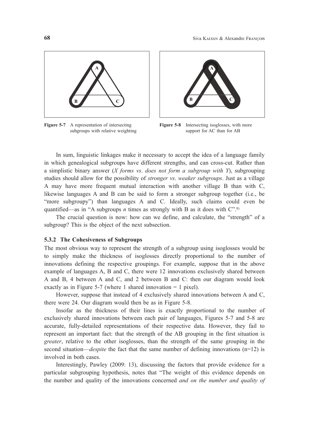

**Figure 5-7** A representation of intersecting subgroups with relative weighting



**Figure 5-8** Intersecting isoglosses, with more support for AC than for AB

 In sum, linguistic linkages make it necessary to accept the idea of a language family in which genealogical subgroups have different strengths, and can cross-cut. Rather than a simplistic binary answer (*X forms vs*. *does not form a subgroup with Y*), subgrouping studies should allow for the possibility of *stronger vs*. *weaker subgroups*. Just as a village A may have more frequent mutual interaction with another village B than with C, likewise languages A and B can be said to form a stronger subgroup together (i.e., be "more subgroupy") than languages A and C. Ideally, such claims could even be quantified—as in "A subgroups *n* times as strongly with B as it does with  $C$ ".<sup>8)</sup>

 The crucial question is now: how can we define, and calculate, the "strength" of a subgroup? This is the object of the next subsection.

### **5.3.2 The Cohesiveness of Subgroups**

The most obvious way to represent the strength of a subgroup using isoglosses would be to simply make the thickness of isoglosses directly proportional to the number of innovations defining the respective groupings. For example, suppose that in the above example of languages A, B and C, there were 12 innovations exclusively shared between A and B, 4 between A and C, and 2 between B and C: then our diagram would look exactly as in Figure 5-7 (where 1 shared innovation = 1 pixel).

 However, suppose that instead of 4 exclusively shared innovations between A and C, there were 24. Our diagram would then be as in Figure 5-8.

 Insofar as the thickness of their lines is exactly proportional to the number of exclusively shared innovations between each pair of languages, Figures 5-7 and 5-8 are accurate, fully-detailed representations of their respective data. However, they fail to represent an important fact: that the strength of the AB grouping in the first situation is *greater*, relative to the other isoglosses, than the strength of the same grouping in the second situation—*despite* the fact that the same number of defining innovations (n=12) is involved in both cases.

 Interestingly, Pawley (2009: 13), discussing the factors that provide evidence for a particular subgrouping hypothesis, notes that "The weight of this evidence depends on the number and quality of the innovations concerned *and on the number and quality of*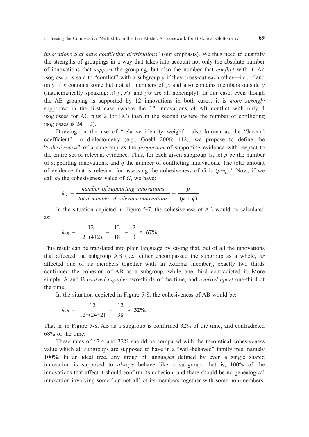*innovations that have conflicting distributions*" (our emphasis). We thus need to quantify the strengths of groupings in a way that takes into account not only the absolute number of innovations that *support* the grouping, but also the number that *conflict* with it. An isogloss *x* is said to "conflict" with a subgroup *y* if they cross-cut each other—i.e., if and only if *x* contains some but not all members of  $\gamma$ , and also contains members outside  $\gamma$ (mathematically speaking:  $x \cap y$ ,  $x \lor y$  and  $y \lor x$  are all nonempty). In our case, even though the AB grouping is supported by 12 innovations in both cases, it is *more strongly* supported in the first case (where the 12 innovations of AB conflict with only 4 isoglosses for AC plus 2 for BC) than in the second (where the number of conflicting isoglosses is  $24 + 2$ ).

Drawing on the use of "relative identity weight"—also known as the "Jaccard coefficient"—in dialectometry (e.g., Goebl 2006: 412), we propose to define the "*cohesiveness*" of a subgroup as the *proportion* of supporting evidence with respect to the entire set of relevant evidence. Thus, for each given subgroup  $G$ , let  $p$  be the number of supporting innovations, and *q* the number of conflicting innovations. The total amount of evidence that is relevant for assessing the cohesiveness of *G* is  $(p+q)$ .<sup>9)</sup> Now, if we call  $k_G$  the cohesiveness value of  $G$ , we have:

$$
k_G = \frac{number\ of\ supporting\ innovations}{total\ number\ of\ relevant\ innovations} = \frac{p}{(p+q)}.
$$

In the situation depicted in Figure 5-7, the cohesiveness of AB would be calculated as:

$$
k_{AB} = \frac{12}{12 + (4+2)} = \frac{12}{18} = \frac{2}{3} \approx 67\%.
$$

This result can be translated into plain language by saying that, out of all the innovations that affected the subgroup AB (i.e., either encompassed the subgroup as a whole, *or* affected one of its members together with an external member), exactly two thirds confirmed the cohesion of AB as a subgroup, while one third contradicted it. More simply, A and B *evolved together* two-thirds of the time, and *evolved apart* one-third of the time.

In the situation depicted in Figure 5-8, the cohesiveness of AB would be:

$$
k_{AB} = \frac{12}{12 + (24 + 2)} = \frac{12}{38} \approx 32\%.
$$

That is, in Figure 5-8, AB as a subgroup is confirmed 32% of the time, and contradicted 68% of the time.

These rates of 67% and 32% should be compared with the theoretical cohesiveness value which all subgroups are supposed to have in a "well-behaved" family tree, namely 100%. In an ideal tree, any group of languages defined by even a single shared innovation is supposed to *always* behave like a subgroup: that is, 100% of the innovations that affect it should confirm its cohesion, and there should be no genealogical innovation involving some (but not all) of its members together with some non-members.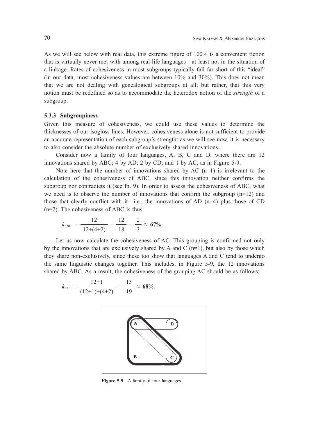As we will see below with real data, this extreme figure of 100% is a convenient fiction that is virtually never met with among real-life languages—at least not in the situation of a linkage. Rates of cohesiveness in most subgroups typically fall far short of this "ideal" (in our data, most cohesiveness values are between 10% and 30%). This does not mean that we are not dealing with genealogical subgroups at all; but rather, that this very notion must be redefined so as to accommodate the heterodox notion of the *strength* of a subgroup.

### **5.3.3 Subgroupiness**

Given this measure of cohesiveness, we could use these values to determine the thicknesses of our isogloss lines. However, cohesiveness alone is not sufficient to provide an accurate representation of each subgroup's strength: as we will see now, it is necessary to also consider the absolute number of exclusively shared innovations.

 Consider now a family of four languages, A, B, C and D, where there are 12 innovations shared by ABC; 4 by AD; 2 by CD; and 1 by AC, as in Figure 5-9.

Note here that the number of innovations shared by AC  $(n=1)$  is irrelevant to the calculation of the cohesiveness of ABC, since this innovation neither confirms the subgroup nor contradicts it (see fn. 9). In order to assess the cohesiveness of ABC, what we need is to observe the number of innovations that confirm the subgroup  $(n=12)$  and those that clearly conflict with it—i.e., the innovations of AD  $(n=4)$  plus those of CD (n=2). The cohesiveness of ABC is thus:

$$
k_{ABC} = \frac{12}{12 + (4+2)} = \frac{12}{18} = \frac{2}{3} \approx 67\%.
$$

 Let us now calculate the cohesiveness of AC. This grouping is confirmed not only by the innovations that are exclusively shared by A and C  $(n=1)$ , but also by those which they share non-exclusively, since these too show that languages A and C tend to undergo the same linguistic changes together. This includes, in Figure 5-9, the 12 innovations shared by ABC. As a result, the cohesiveness of the grouping AC should be as follows:

$$
k_{AC} = \frac{12+1}{(12+1)+(4+2)} = \frac{13}{19} \approx 68\%.
$$



**Figure 5-9** A family of four languages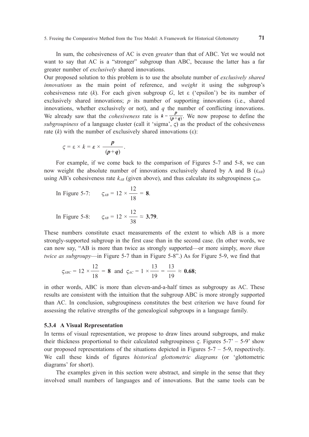In sum, the cohesiveness of AC is even *greater* than that of ABC. Yet we would not want to say that AC is a "stronger" subgroup than ABC, because the latter has a far greater number of *exclusively* shared innovations.

Our proposed solution to this problem is to use the absolute number of *exclusively shared innovations* as the main point of reference, and *weight* it using the subgroup's cohesiveness rate (*k*). For each given subgroup *G*, let  $\varepsilon$  ('epsilon') be its number of exclusively shared innovations; *p* its number of supporting innovations (i.e., shared innovations, whether exclusively or not), and  $q$  the number of conflicting innovations. We already saw that the *cohesiveness* rate is  $k = \frac{p}{(p+q)}$ . We now propose to define the *subgroupiness* of a language cluster (call it 'sigma',  $\varsigma$ ) as the product of the cohesiveness rate  $(k)$  with the number of exclusively shared innovations  $(ε)$ :

$$
\varsigma = \varepsilon \times k = \varepsilon \times \frac{p}{(p+q)}.
$$

For example, if we come back to the comparison of Figures 5-7 and 5-8, we can now weight the absolute number of innovations exclusively shared by A and B  $(\epsilon_{AB})$ using AB's cohesiveness rate  $k_{AB}$  (given above), and thus calculate its subgroupiness  $\zeta_{AB}$ .

In Figure 5-7: 
$$
\zeta_{AB} = 12 \times \frac{12}{18} = 8.
$$

In Figure 5-8: 
$$
\zeta_{AB} = 12 \times \frac{12}{38} \approx 3.79.
$$

These numbers constitute exact measurements of the extent to which AB is a more strongly-supported subgroup in the first case than in the second case. (In other words, we can now say, "AB is more than twice as strongly supported—or more simply, *more than twice as subgroupy*—in Figure 5-7 than in Figure 5-8".) As for Figure 5-9, we find that

$$
\zeta_{ABC} = 12 \times \frac{12}{18} = 8
$$
 and  $\zeta_{AC} = 1 \times \frac{13}{19} = \frac{13}{19} \approx 0.68$ ;

in other words, ABC is more than eleven-and-a-half times as subgroupy as AC. These results are consistent with the intuition that the subgroup ABC is more strongly supported than AC. In conclusion, subgroupiness constitutes the best criterion we have found for assessing the relative strengths of the genealogical subgroups in a language family.

#### **5.3.4 A Visual Representation**

In terms of visual representation, we propose to draw lines around subgroups, and make their thickness proportional to their calculated subgroupiness  $\zeta$ . Figures 5-7' – 5-9' show our proposed representations of the situations depicted in Figures  $5-7 - 5-9$ , respectively. We call these kinds of figures *historical glottometric diagrams* (or 'glottometric diagrams' for short).

The examples given in this section were abstract, and simple in the sense that they involved small numbers of languages and of innovations. But the same tools can be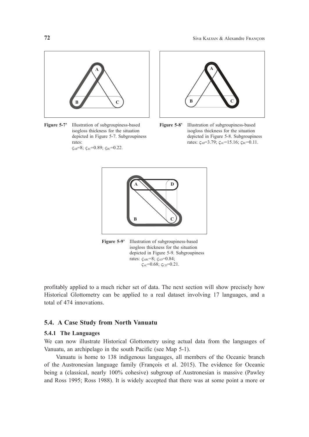

**Figure 5-7'** Illustration of subgroupiness-based isogloss thickness for the situation depicted in Figure 5-7. Subgroupiness rates:  $\zeta_{AB} = 8$ ;  $\zeta_{AC} = 0.89$ ;  $\zeta_{BC} = 0.22$ .



**Figure 5-8'** Illustration of subgroupiness-based isogloss thickness for the situation depicted in Figure 5-8. Subgroupiness rates: ϛ*AB*=3.79; ϛ*AC*=15.16; ϛ*BC*=0.11.



**Figure 5-9'** Illustration of subgroupiness-based isogloss thickness for the situation depicted in Figure 5-9. Subgroupiness rates: ϛ*ABC*=8; ϛ*AD*=0.84;  $\zeta_{AC}$ =0.68;  $\zeta_{CD}$ =0.21.

profitably applied to a much richer set of data. The next section will show precisely how Historical Glottometry can be applied to a real dataset involving 17 languages, and a total of 474 innovations.

# **5.4. A Case Study from North Vanuatu**

# **5.4.1 The Languages**

We can now illustrate Historical Glottometry using actual data from the languages of Vanuatu, an archipelago in the south Pacific (see Map 5-1).

 Vanuatu is home to 138 indigenous languages, all members of the Oceanic branch of the Austronesian language family (François et al. 2015). The evidence for Oceanic being a (classical, nearly 100% cohesive) subgroup of Austronesian is massive (Pawley and Ross 1995; Ross 1988). It is widely accepted that there was at some point a more or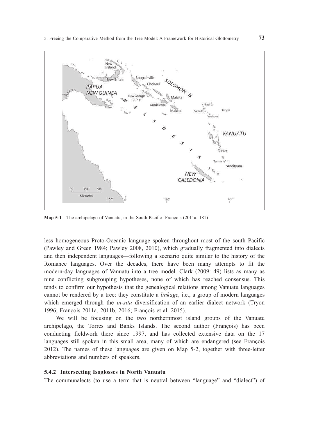

**Map 5-1** The archipelago of Vanuatu, in the South Pacific [François (2011a: 181)]

less homogeneous Proto-Oceanic language spoken throughout most of the south Pacific (Pawley and Green 1984; Pawley 2008, 2010), which gradually fragmented into dialects and then independent languages—following a scenario quite similar to the history of the Romance languages. Over the decades, there have been many attempts to fit the modern-day languages of Vanuatu into a tree model. Clark (2009: 49) lists as many as nine conflicting subgrouping hypotheses, none of which has reached consensus. This tends to confirm our hypothesis that the genealogical relations among Vanuatu languages cannot be rendered by a tree: they constitute a *linkage*, i.e., a group of modern languages which emerged through the *in-situ* diversification of an earlier dialect network (Tryon 1996; François 2011a, 2011b, 2016; François et al. 2015).

We will be focusing on the two northernmost island groups of the Vanuatu archipelago, the Torres and Banks Islands. The second author (François) has been conducting fieldwork there since 1997, and has collected extensive data on the 17 languages still spoken in this small area, many of which are endangered (see François 2012). The names of these languages are given on Map 5-2, together with three-letter abbreviations and numbers of speakers.

### **5.4.2 Intersecting Isoglosses in North Vanuatu**

The communalects (to use a term that is neutral between "language" and "dialect") of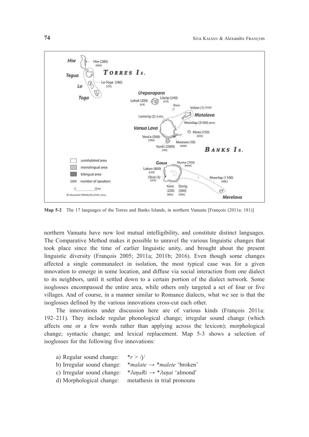

**Map 5-2** The 17 languages of the Torres and Banks Islands, in northern Vanuatu [François (2011a: 181)]

northern Vanuatu have now lost mutual intelligibility, and constitute distinct languages. The Comparative Method makes it possible to unravel the various linguistic changes that took place since the time of earlier linguistic unity, and brought about the present linguistic diversity (François 2005; 2011a; 2011b; 2016). Even though some changes affected a single communalect in isolation, the most typical case was for a given innovation to emerge in some location, and diffuse via social interaction from one dialect to its neighbors, until it settled down to a certain portion of the dialect network. Some isoglosses encompassed the entire area, while others only targeted a set of four or five villages. And of course, in a manner similar to Romance dialects, what we see is that the isoglosses defined by the various innovations cross-cut each other.

The innovations under discussion here are of various kinds (François 2011a: 192–211). They include regular phonological change; irregular sound change (which affects one or a few words rather than applying across the lexicon); morphological change; syntactic change; and lexical replacement. Map 5-3 shows a selection of isoglosses for the following five innovations:

| a) Regular sound change:   | * $r >  i $                            |
|----------------------------|----------------------------------------|
| b) Irregular sound change: | *malate $\rightarrow$ *malete 'broken' |
| c) Irregular sound change: | *2anaRi $\rightarrow$ *2anai 'almond'  |
| d) Morphological change:   | metathesis in trial pronouns           |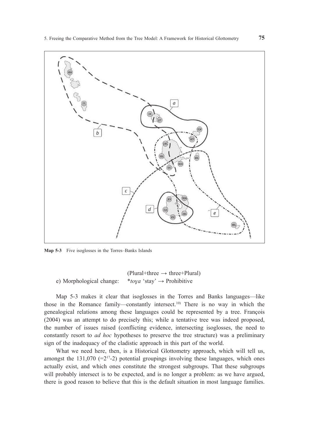

**Map 5-3** Five isoglosses in the Torres–Banks Islands

 $(Plural+three \rightarrow three+Plural)$ e) Morphological change: \**toɣa* 'stay' → Prohibitive

Map 5-3 makes it clear that isoglosses in the Torres and Banks languages—like those in the Romance family—constantly intersect.10) There is no way in which the genealogical relations among these languages could be represented by a tree. François (2004) was an attempt to do precisely this; while a tentative tree was indeed proposed, the number of issues raised (conflicting evidence, intersecting isoglosses, the need to constantly resort to *ad hoc* hypotheses to preserve the tree structure) was a preliminary sign of the inadequacy of the cladistic approach in this part of the world.

What we need here, then, is a Historical Glottometry approach, which will tell us, amongst the 131,070 ( $=2^{17}-2$ ) potential groupings involving these languages, which ones actually exist, and which ones constitute the strongest subgroups. That these subgroups will probably intersect is to be expected, and is no longer a problem: as we have argued, there is good reason to believe that this is the default situation in most language families.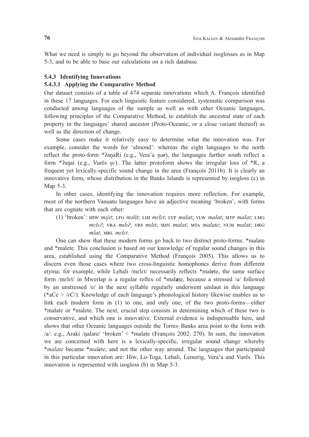What we need is simply to go beyond the observation of individual isoglosses as in Map 5-3, and to be able to base our calculations on a rich database.

### **5.4.3 Identifying Innovations**

# **5.4.3.1 Applying the Comparative Method**

Our dataset consists of a table of 474 separate innovations which A. François identified in these 17 languages. For each linguistic feature considered, systematic comparison was conducted among languages of the sample as well as with other Oceanic languages, following principles of the Comparative Method, to establish the ancestral state of each property in the languages' shared ancestor (Proto-Oceanic, or a close variant thereof) as well as the direction of change.

Some cases make it relatively easy to determine what the innovation was. For example, consider the words for 'almond': whereas the eight languages to the north reflect the proto-form \*ʔaŋaRi (e.g., Vera'a *ŋar*), the languages further south reflect a form \* $\hat{i}$ anai (e.g., Vurës  $n\hat{\epsilon}$ ). The latter protoform shows the irregular loss of \*R, a frequent yet lexically-specific sound change in the area (François 2011b). It is clearly an innovative form, whose distribution in the Banks Islands is represented by isogloss (c) in Map 5-3.

In other cases, identifying the innovation requires more reflection. For example, most of the northern Vanuatu languages have an adjective meaning 'broken', with forms that are cognate with each other:

(1) 'broken': Hiw *mɪjɪt*; ltg *məlit*; lHi *mɛlɛt*; lyp *malat*; Vlw *malat*; mtp *malat*; lmg *mɛlɛʔ*; Vra *mɪlɪʔ*; Vrs *mɪlɪt*; msn *malat*; mta *malate*; num *malat*; drg  $m$ *lat*; MRL *mɛlɛt*.

One can show that these modern forms go back to two distinct proto-forms: \*malate and \*malete. This conclusion is based on our knowledge of regular sound changes in this area, established using the Comparative Method (François 2005). This allows us to discern even those cases where two cross-linguistic homophones derive from different etyma: for example, while Lehali /mɛlɛt/ necessarily reflects \*mal**e**te, the same surface form /mɛlɛt/ in Mwerlap is a regular reflex of \*mal**a**te, because a stressed /a/ followed by an unstressed /e/ in the next syllable regularly underwent umlaut in this language (\*aCe > / $\varepsilon$ C/). Knowledge of each language's phonological history likewise enables us to link each modern form in (1) to one, and only one, of the two proto-forms—either \*malate or \*malete. The next, crucial step consists in determining which of these two is conservative, and which one is innovative. External evidence is indispensable here, and shows that other Oceanic languages outside the Torres–Banks area point to the form with  $\alpha/2$ : e.g., Araki /nalare/ 'broken' < \*malate (François 2002: 270). In sum, the innovation we are concerned with here is a lexically-specific, irregular sound change whereby \**malate* became \**malete*, and not the other way around. The languages that participated in this particular innovation are: Hiw, Lo-Toga, Lehali, Lemerig, Vera'a and Vurës. This innovation is represented with isogloss (b) in Map 5-3.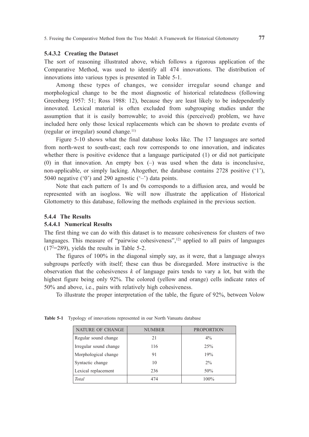#### **5.4.3.2 Creating the Dataset**

The sort of reasoning illustrated above, which follows a rigorous application of the Comparative Method, was used to identify all 474 innovations. The distribution of innovations into various types is presented in Table 5-1.

Among these types of changes, we consider irregular sound change and morphological change to be the most diagnostic of historical relatedness (following Greenberg 1957: 51; Ross 1988: 12), because they are least likely to be independently innovated. Lexical material is often excluded from subgrouping studies under the assumption that it is easily borrowable; to avoid this (perceived) problem, we have included here only those lexical replacements which can be shown to predate events of (regular or irregular) sound change.<sup>11)</sup>

Figure 5-10 shows what the final database looks like. The 17 languages are sorted from north-west to south-east; each row corresponds to one innovation, and indicates whether there is positive evidence that a language participated (1) or did not participate (0) in that innovation. An empty box  $(-)$  was used when the data is inconclusive, non-applicable, or simply lacking. Altogether, the database contains 2728 positive ('1'), 5040 negative  $(0)$  and 290 agnostic  $(-)$  data points.

Note that each pattern of 1s and 0s corresponds to a diffusion area, and would be represented with an isogloss. We will now illustrate the application of Historical Glottometry to this database, following the methods explained in the previous section.

### **5.4.4 The Results**

# **5.4.4.1 Numerical Results**

The first thing we can do with this dataset is to measure cohesiveness for clusters of two languages. This measure of "pairwise cohesiveness",<sup>12)</sup> applied to all pairs of languages (172 =289), yields the results in Table 5-2.

The figures of 100% in the diagonal simply say, as it were, that a language always subgroups perfectly with itself; these can thus be disregarded. More instructive is the observation that the cohesiveness *k* of language pairs tends to vary a lot, but with the highest figure being only 92%. The colored (yellow and orange) cells indicate rates of 50% and above, i.e., pairs with relatively high cohesiveness.

To illustrate the proper interpretation of the table, the figure of 92%, between Volow

| NATURE OF CHANGE       | <b>NUMBER</b> | <b>PROPORTION</b> |
|------------------------|---------------|-------------------|
| Regular sound change   | 21            | $4\%$             |
| Irregular sound change | 116           | 25%               |
| Morphological change   | 91            | 19%               |
| Syntactic change       | 10            | $2\%$             |
| Lexical replacement    | 236           | 50%               |
| Total                  | 474           | $100\%$           |

**Table 5-1** Typology of innovations represented in our North Vanuatu database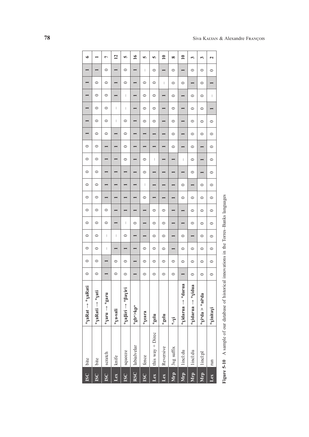| $\frac{6}{1}$<br>$\overline{12}$<br>$\mathbf{10}$<br>$\mathbf{r}$<br>Ļ<br>n<br>ю<br>Ю<br>$\infty$<br>3<br>$\overline{\mathbf{c}}$<br>3<br>$\begin{array}{c} \rule{0pt}{2.5ex} \rule{0pt}{2.5ex} \rule{0pt}{2.5ex} \rule{0pt}{2.5ex} \rule{0pt}{2.5ex} \rule{0pt}{2.5ex} \rule{0pt}{2.5ex} \rule{0pt}{2.5ex} \rule{0pt}{2.5ex} \rule{0pt}{2.5ex} \rule{0pt}{2.5ex} \rule{0pt}{2.5ex} \rule{0pt}{2.5ex} \rule{0pt}{2.5ex} \rule{0pt}{2.5ex} \rule{0pt}{2.5ex} \rule{0pt}{2.5ex} \rule{0pt}{2.5ex} \rule{0pt}{2.5ex} \rule{0$<br>$\circ$<br>$\circ$<br>$\circ$<br>$\circ$<br>$\circ$<br>$\circ$<br>$\circ$<br>$\circ$<br>$\circ$<br>$\circ$<br>I<br>$\circ$<br>$\circ$<br>$\circ$<br>$\circ$<br>$\circ$<br>$\circ$<br>$\circ$<br>$\vert$<br>$\circ$<br>$\circ$<br>$\circ$<br>I<br>$\circ$<br>$\circ$<br>$\blacksquare$<br>$\circ$<br>$\circ$<br>I<br>I<br>$\circ$<br>$\circ$<br>$\circ$<br>$\circ$<br>$\circ$<br>$\overline{\phantom{0}}$<br>$\circ$<br>$\circ$<br>I<br>$\circ$<br>$\circ$<br>$\circ$<br>$\circ$<br>$\circ$<br>$\circ$<br>$\circ$<br>$\circ$<br>$\circ$<br>$\circ$<br>$\circ$<br>$\circ$<br>$\circ$<br>$\circ$<br>$\circ$<br>$\circ$<br>$\circ$<br>$\circ$<br>$\circ$<br>$\circ$<br>$\mid$<br>$\circ$<br>I<br>$\circ$<br>$\circ$<br>$\circ$<br>$\circ$<br>$\circ$<br>$\circ$<br>$\circ$<br>$\circ$<br>$\begin{array}{c} \rule{0pt}{2.5ex} \rule{0pt}{2.5ex} \rule{0pt}{2.5ex} \rule{0pt}{2.5ex} \rule{0pt}{2.5ex} \rule{0pt}{2.5ex} \rule{0pt}{2.5ex} \rule{0pt}{2.5ex} \rule{0pt}{2.5ex} \rule{0pt}{2.5ex} \rule{0pt}{2.5ex} \rule{0pt}{2.5ex} \rule{0pt}{2.5ex} \rule{0pt}{2.5ex} \rule{0pt}{2.5ex} \rule{0pt}{2.5ex} \rule{0pt}{2.5ex} \rule{0pt}{2.5ex} \rule{0pt}{2.5ex} \rule{0$<br>$\circ$<br>$\circ$<br>$\circ$<br>$\circ$<br>$\circ$<br>$\circ$<br>$\circ$<br>$\circ$<br>$\circ$<br>⊣<br>$\circ$<br>$\circ$<br>$\circ$<br>$\circ$<br>$\circ$<br>$\circ$<br>$\circ$<br>$\circ$<br>$\mid$<br>$\circ$<br>$\circ$<br>$\circ$<br>$\circ$<br>$\circ$<br>$\circ$<br>$\circ$<br>$\circ$<br>$\begin{array}{c} \rule{0pt}{2.5ex} \rule{0pt}{2.5ex} \rule{0pt}{2.5ex} \rule{0pt}{2.5ex} \rule{0pt}{2.5ex} \rule{0pt}{2.5ex} \rule{0pt}{2.5ex} \rule{0pt}{2.5ex} \rule{0pt}{2.5ex} \rule{0pt}{2.5ex} \rule{0pt}{2.5ex} \rule{0pt}{2.5ex} \rule{0pt}{2.5ex} \rule{0pt}{2.5ex} \rule{0pt}{2.5ex} \rule{0pt}{2.5ex} \rule{0pt}{2.5ex} \rule{0pt}{2.5ex} \rule{0pt}{2.5ex} \rule{0$<br>$\begin{array}{c} \rule{0pt}{2.5ex} \rule{0pt}{2.5ex} \rule{0pt}{2.5ex} \rule{0pt}{2.5ex} \rule{0pt}{2.5ex} \rule{0pt}{2.5ex} \rule{0pt}{2.5ex} \rule{0pt}{2.5ex} \rule{0pt}{2.5ex} \rule{0pt}{2.5ex} \rule{0pt}{2.5ex} \rule{0pt}{2.5ex} \rule{0pt}{2.5ex} \rule{0pt}{2.5ex} \rule{0pt}{2.5ex} \rule{0pt}{2.5ex} \rule{0pt}{2.5ex} \rule{0pt}{2.5ex} \rule{0pt}{2.5ex} \rule{0$<br>$\circ$<br>$\circ$<br>$\circ$<br>$\circ$<br>$\circ$<br>$\circ$<br>$\circ$<br>$\begin{array}{c} \rule{0pt}{2.5ex} \rule{0pt}{2.5ex} \rule{0pt}{2.5ex} \rule{0pt}{2.5ex} \rule{0pt}{2.5ex} \rule{0pt}{2.5ex} \rule{0pt}{2.5ex} \rule{0pt}{2.5ex} \rule{0pt}{2.5ex} \rule{0pt}{2.5ex} \rule{0pt}{2.5ex} \rule{0pt}{2.5ex} \rule{0pt}{2.5ex} \rule{0pt}{2.5ex} \rule{0pt}{2.5ex} \rule{0pt}{2.5ex} \rule{0pt}{2.5ex} \rule{0pt}{2.5ex} \rule{0pt}{2.5ex} \rule{0$<br>$\circ$<br>$\circ$<br>$\circ$<br>$\circ$<br>$\circ$<br>$\circ$<br>$\circ$<br>$\circ$<br>$\circ$<br>$\circ$<br>$\circ$<br>$\circ$<br>$\circ$<br>$\circ$<br>$\circ$<br>$\circ$<br>$\circ$<br>$\circ$ | $\circ$                         |         | $\circ$ | $\circ$ | $\circ$ | $\circ$ | $\circ$ | $\circ$ | $\circ$ | $\circ$ | $\circ$ | $\circ$ |  |  |  | ৽ |
|------------------------------------------------------------------------------------------------------------------------------------------------------------------------------------------------------------------------------------------------------------------------------------------------------------------------------------------------------------------------------------------------------------------------------------------------------------------------------------------------------------------------------------------------------------------------------------------------------------------------------------------------------------------------------------------------------------------------------------------------------------------------------------------------------------------------------------------------------------------------------------------------------------------------------------------------------------------------------------------------------------------------------------------------------------------------------------------------------------------------------------------------------------------------------------------------------------------------------------------------------------------------------------------------------------------------------------------------------------------------------------------------------------------------------------------------------------------------------------------------------------------------------------------------------------------------------------------------------------------------------------------------------------------------------------------------------------------------------------------------------------------------------------------------------------------------------------------------------------------------------------------------------------------------------------------------------------------------------------------------------------------------------------------------------------------------------------------------------------------------------------------------------------------------------------------------------------------------------------------------------------------------------------------------------------------------------------------------------------------------------------------------------------------------------------------------------------------------------------------------------------------------------------------------------------------------------------------------------------------------------------------------------------------------------------------------------------------------------------------------------------------------------------------------------------------------------------------------------------------------------------------------------------------------------------------------------------------------------------------------------------------------------------------------------------------------------------------------------------------------------------------------------------------------------------------------------------------------------------------------------------------------------------------------------------------------------------------------------------------------------------------------------------------------------------------------------|---------------------------------|---------|---------|---------|---------|---------|---------|---------|---------|---------|---------|---------|--|--|--|---|
| $\circ$<br>$\circ$<br>$\circ$<br>$\circ$<br>$\circ$<br>$\circ$<br>$\circ$<br>$\circ$<br>$\circ$<br>*yidarua → *darua<br>*yidarua → *yidua<br>*yaβiri → *βayiri<br>*garu<br>$\mathrm{sh}^{\mathrm{in}^{\mathrm{in}}}$ $\approx$ $\mathrm{sh}^{\mathrm{in}}$ $\mathrm{sh}^{\mathrm{in}}$                                                                                                                                                                                                                                                                                                                                                                                                                                                                                                                                                                                                                                                                                                                                                                                                                                                                                                                                                                                                                                                                                                                                                                                                                                                                                                                                                                                                                                                                                                                                                                                                                                                                                                                                                                                                                                                                                                                                                                                                                                                                                                                                                                                                                                                                                                                                                                                                                                                                                                                                                                                                                                                                                                                                                                                                                                                                                                                                                                                                                                                                                                                                                               | *yati<br>$a$ Rati $\rightarrow$ | $\circ$ |         |         |         |         |         |         |         |         |         |         |  |  |  |   |
|                                                                                                                                                                                                                                                                                                                                                                                                                                                                                                                                                                                                                                                                                                                                                                                                                                                                                                                                                                                                                                                                                                                                                                                                                                                                                                                                                                                                                                                                                                                                                                                                                                                                                                                                                                                                                                                                                                                                                                                                                                                                                                                                                                                                                                                                                                                                                                                                                                                                                                                                                                                                                                                                                                                                                                                                                                                                                                                                                                                                                                                                                                                                                                                                                                                                                                                                                                                                                                                      |                                 |         |         |         |         |         |         |         |         |         |         |         |  |  |  |   |
|                                                                                                                                                                                                                                                                                                                                                                                                                                                                                                                                                                                                                                                                                                                                                                                                                                                                                                                                                                                                                                                                                                                                                                                                                                                                                                                                                                                                                                                                                                                                                                                                                                                                                                                                                                                                                                                                                                                                                                                                                                                                                                                                                                                                                                                                                                                                                                                                                                                                                                                                                                                                                                                                                                                                                                                                                                                                                                                                                                                                                                                                                                                                                                                                                                                                                                                                                                                                                                                      |                                 |         |         |         |         |         |         |         |         |         |         |         |  |  |  |   |
|                                                                                                                                                                                                                                                                                                                                                                                                                                                                                                                                                                                                                                                                                                                                                                                                                                                                                                                                                                                                                                                                                                                                                                                                                                                                                                                                                                                                                                                                                                                                                                                                                                                                                                                                                                                                                                                                                                                                                                                                                                                                                                                                                                                                                                                                                                                                                                                                                                                                                                                                                                                                                                                                                                                                                                                                                                                                                                                                                                                                                                                                                                                                                                                                                                                                                                                                                                                                                                                      |                                 |         |         |         |         |         |         |         |         |         |         |         |  |  |  |   |
|                                                                                                                                                                                                                                                                                                                                                                                                                                                                                                                                                                                                                                                                                                                                                                                                                                                                                                                                                                                                                                                                                                                                                                                                                                                                                                                                                                                                                                                                                                                                                                                                                                                                                                                                                                                                                                                                                                                                                                                                                                                                                                                                                                                                                                                                                                                                                                                                                                                                                                                                                                                                                                                                                                                                                                                                                                                                                                                                                                                                                                                                                                                                                                                                                                                                                                                                                                                                                                                      |                                 |         |         |         |         |         |         |         |         |         |         |         |  |  |  |   |
|                                                                                                                                                                                                                                                                                                                                                                                                                                                                                                                                                                                                                                                                                                                                                                                                                                                                                                                                                                                                                                                                                                                                                                                                                                                                                                                                                                                                                                                                                                                                                                                                                                                                                                                                                                                                                                                                                                                                                                                                                                                                                                                                                                                                                                                                                                                                                                                                                                                                                                                                                                                                                                                                                                                                                                                                                                                                                                                                                                                                                                                                                                                                                                                                                                                                                                                                                                                                                                                      |                                 |         |         |         |         |         |         |         |         |         |         |         |  |  |  |   |
|                                                                                                                                                                                                                                                                                                                                                                                                                                                                                                                                                                                                                                                                                                                                                                                                                                                                                                                                                                                                                                                                                                                                                                                                                                                                                                                                                                                                                                                                                                                                                                                                                                                                                                                                                                                                                                                                                                                                                                                                                                                                                                                                                                                                                                                                                                                                                                                                                                                                                                                                                                                                                                                                                                                                                                                                                                                                                                                                                                                                                                                                                                                                                                                                                                                                                                                                                                                                                                                      |                                 |         |         |         |         |         |         |         |         |         |         |         |  |  |  |   |
|                                                                                                                                                                                                                                                                                                                                                                                                                                                                                                                                                                                                                                                                                                                                                                                                                                                                                                                                                                                                                                                                                                                                                                                                                                                                                                                                                                                                                                                                                                                                                                                                                                                                                                                                                                                                                                                                                                                                                                                                                                                                                                                                                                                                                                                                                                                                                                                                                                                                                                                                                                                                                                                                                                                                                                                                                                                                                                                                                                                                                                                                                                                                                                                                                                                                                                                                                                                                                                                      |                                 |         |         |         |         |         |         |         |         |         |         |         |  |  |  |   |
|                                                                                                                                                                                                                                                                                                                                                                                                                                                                                                                                                                                                                                                                                                                                                                                                                                                                                                                                                                                                                                                                                                                                                                                                                                                                                                                                                                                                                                                                                                                                                                                                                                                                                                                                                                                                                                                                                                                                                                                                                                                                                                                                                                                                                                                                                                                                                                                                                                                                                                                                                                                                                                                                                                                                                                                                                                                                                                                                                                                                                                                                                                                                                                                                                                                                                                                                                                                                                                                      |                                 |         |         |         |         |         |         |         |         |         |         |         |  |  |  |   |
|                                                                                                                                                                                                                                                                                                                                                                                                                                                                                                                                                                                                                                                                                                                                                                                                                                                                                                                                                                                                                                                                                                                                                                                                                                                                                                                                                                                                                                                                                                                                                                                                                                                                                                                                                                                                                                                                                                                                                                                                                                                                                                                                                                                                                                                                                                                                                                                                                                                                                                                                                                                                                                                                                                                                                                                                                                                                                                                                                                                                                                                                                                                                                                                                                                                                                                                                                                                                                                                      |                                 |         |         |         |         |         |         |         |         |         |         |         |  |  |  |   |
|                                                                                                                                                                                                                                                                                                                                                                                                                                                                                                                                                                                                                                                                                                                                                                                                                                                                                                                                                                                                                                                                                                                                                                                                                                                                                                                                                                                                                                                                                                                                                                                                                                                                                                                                                                                                                                                                                                                                                                                                                                                                                                                                                                                                                                                                                                                                                                                                                                                                                                                                                                                                                                                                                                                                                                                                                                                                                                                                                                                                                                                                                                                                                                                                                                                                                                                                                                                                                                                      |                                 |         |         |         |         |         |         |         |         |         |         |         |  |  |  |   |
|                                                                                                                                                                                                                                                                                                                                                                                                                                                                                                                                                                                                                                                                                                                                                                                                                                                                                                                                                                                                                                                                                                                                                                                                                                                                                                                                                                                                                                                                                                                                                                                                                                                                                                                                                                                                                                                                                                                                                                                                                                                                                                                                                                                                                                                                                                                                                                                                                                                                                                                                                                                                                                                                                                                                                                                                                                                                                                                                                                                                                                                                                                                                                                                                                                                                                                                                                                                                                                                      |                                 |         |         |         |         |         |         |         |         |         |         |         |  |  |  |   |
|                                                                                                                                                                                                                                                                                                                                                                                                                                                                                                                                                                                                                                                                                                                                                                                                                                                                                                                                                                                                                                                                                                                                                                                                                                                                                                                                                                                                                                                                                                                                                                                                                                                                                                                                                                                                                                                                                                                                                                                                                                                                                                                                                                                                                                                                                                                                                                                                                                                                                                                                                                                                                                                                                                                                                                                                                                                                                                                                                                                                                                                                                                                                                                                                                                                                                                                                                                                                                                                      |                                 |         |         |         |         |         |         |         |         |         |         |         |  |  |  |   |

| ì<br>֠                                                                                                                             |
|------------------------------------------------------------------------------------------------------------------------------------|
| Ï<br>l<br>j<br>l<br>I<br>֧֧֧֧֧֧֧֧ׅ֧֧֧֧֧֧֧֧֧֧֧֧֧֧֧֛֚֚֚֚֚֚֚֚֚֚֚֚֚֚֚֚֚֚֚֚֚֚֚֝֝֓֝֓֝֟֓֝֬֝֓֝֬֜֓֝֬֝֓֝֬֝֬֝֬֝֬֝֬֝֬֝֬֝֬֝֬֝֬֝֬<br>l<br>ļ<br>l |
| I<br>l                                                                                                                             |
|                                                                                                                                    |
| ֧֖֖֖֖֖֖֖֖֧ׅ֖֖֧ׅ֖֧֚֚֚֚֚֚֚֚֚֚֚֚֚֚֚֚֚֚֚֚֚֚֚֬֝֬֝֝֝<br>$\overline{a}$                                                                   |
| ֖֦֧֦֧֢ׅ֧֦֧֢ׅ֧֦֧֦֧֦֧֦֧֦֧֦֧֦֧֦֧֚֚֚֚֚֚֚֚֚֚֚֚֬                                                                                         |
|                                                                                                                                    |
| l<br>I                                                                                                                             |
|                                                                                                                                    |
|                                                                                                                                    |
| -------                                                                                                                            |
|                                                                                                                                    |
|                                                                                                                                    |
| l<br>í<br>í                                                                                                                        |
|                                                                                                                                    |
|                                                                                                                                    |
| I                                                                                                                                  |
| î<br>l<br>l                                                                                                                        |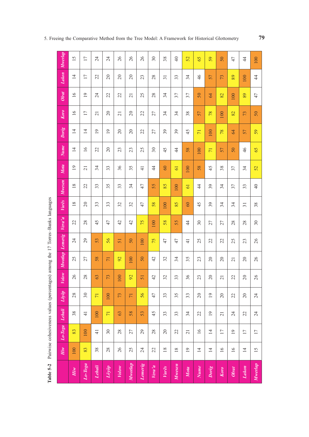| Table 5-2             |                 | Pairwise cohesiveness values (percentages) among the 17 Torres-Banks languages |                 |                 |                 |                 |                 |               |                 |               |                 |                |                 |                 |                 |                 |                 |
|-----------------------|-----------------|--------------------------------------------------------------------------------|-----------------|-----------------|-----------------|-----------------|-----------------|---------------|-----------------|---------------|-----------------|----------------|-----------------|-----------------|-----------------|-----------------|-----------------|
|                       | Hiw             | Lo-Toga                                                                        | Lehali          | Löyöp           | Volow           | Mwotlap         | Lemerig         | Vera'a        | Vurës           | Mwesen        | Mota            | Nume           | Dorig           | Koro            | Olrat           | Lakon           | Mwerlap         |
| $H\dot{m}$            | 100             | 83                                                                             | 38              | 28              | 26              | 25              | $\overline{24}$ | 22            | 18              | 18            | $\overline{19}$ | 14             | $\overline{14}$ | 16              | 16              | $\overline{14}$ | 15              |
| Lo-Toga               | 83              | 100                                                                            | $\frac{1}{4}$   | $30\,$          | 28              | 27              | 29              | 28            | $\overline{c}$  | 22            | $\overline{z}$  | 16             | $\overline{14}$ | 17              | $\overline{19}$ | 17              | 17              |
| Lehali                | 38              | $\frac{1}{4}$                                                                  | 100             | $\overline{7}$  | 63              | 58              | 53              | 45            | 33              | 33            | 34              | 22             | $\overline{0}$  | $\overline{c}$  | 24              | 22              | 24              |
| $L\ddot{o}y\ddot{o}p$ | 28              | 30                                                                             | $\overline{71}$ | 100             | 73              | $\overline{7}$  | 56              | 47            | 33              | 35            | 33              | $\overline{c}$ | $\overline{19}$ | $\overline{c}$  | 22              | 20              | 24              |
| <b>Volow</b>          | 26              | 28                                                                             | 63              | 73              | 100             | 92              | 51              | 42            | 32              | 33            | 36              | 23             | $\overline{c}$  | $\overline{21}$ | 22              | 20              | 26              |
| Mwotlap               | 25              | 27                                                                             | 58              | $\overline{71}$ | 92              | 100             | 50              | 42            | 32              | 34            | 35              | 23             | 20              | 20              | $\overline{c}$  | 20              | 26              |
| Lemerig               | $\overline{24}$ | $_{29}$                                                                        | 53              | 56              | 51              | 50              | 100             | 75            | 47              | 47            | $\pm$           | 25             | 22              | 22              | 25              | 23              | 26              |
| Vera'a                | 22              | 28                                                                             | 45              | 47              | 42              | 42              | 75              | 100           | 58              | 55            | $\frac{4}{4}$   | $30\,$         | 27              | 27              | 28              | 28              | $30\,$          |
| Vurës                 | $18\,$          | 20                                                                             | 33              | 33              | 32              | 32              | 47              | 58            | 100             | 85            | 60              | 45             | 39              | 34              | 34              | $\overline{31}$ | 38              |
| Mwesen                | $18\,$          | 22                                                                             | 33              | 35              | 33              | 34              | 47              | 55            | 85              | 100           | 61              | $\frac{4}{4}$  | 39              | 34              | 37              | 33              | $\overline{40}$ |
| Mota                  | 19              | $\overline{21}$                                                                | 34              | 33              | 36              | 35              | $\frac{4}{5}$   | $\frac{4}{4}$ | 60              | 61            | 100             | 58             | 45              | 38              | 57              | 34              | 52              |
| Nume                  | 14              | 16                                                                             | 22              | $\gtrsim$       | 23              | 23              | 25              | $30\,$        | 45              | $\frac{4}{3}$ | 58              | 100            | $\overline{7}$  | 57              | 50              | 46              | 65              |
| Dorig                 | 14              | 14                                                                             | $\overline{19}$ | $\overline{19}$ | 20              | 20              | 22              | 27            | 39              | 39            | 45              | $\overline{7}$ | 100             | 78              | 64              | 57              | 59              |
| Koro                  | 16              | 17                                                                             | $\overline{c}$  | $\Omega$        | $\overline{21}$ | $\overline{20}$ | 22              | 27            | 34              | 34            | 38              | 57             | 78              | 100             | 82              | 73              | 50              |
| Olrat                 | $\overline{16}$ | $\overline{19}$                                                                | 24              | 22              | 22              | $\overline{21}$ | 25              | 28            | 34              | 37            | 37              | $50\,$         | 64              | 82              | 100             | 89              | 47              |
| Lakon                 | $\overline{1}$  | 17                                                                             | 22              | 20              | 20              | 20              | 23              | 28            | $\overline{31}$ | 33            | 34              | 46             | 57              | 73              | 89              | 100             | $\frac{4}{4}$   |
| Mwerlap               | 15              | 17                                                                             | 24              | 24              | 26              | 26              | 26              | $30\,$        | $38$            | $\Theta$      | 52              | 65             | 59              | 50              | $47$            | $\frac{4}{3}$   | 100             |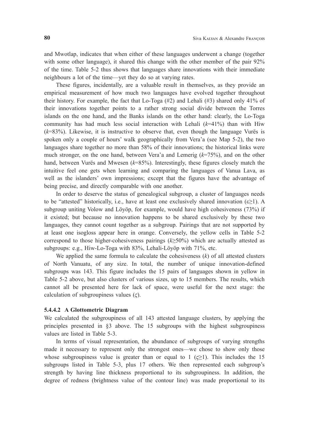and Mwotlap, indicates that when either of these languages underwent a change (together with some other language), it shared this change with the other member of the pair 92% of the time. Table 5-2 thus shows that languages share innovations with their immediate neighbours a lot of the time—yet they do so at varying rates.

These figures, incidentally, are a valuable result in themselves, as they provide an empirical measurement of how much two languages have evolved together throughout their history. For example, the fact that Lo-Toga (#2) and Lehali (#3) shared only 41% of their innovations together points to a rather strong social divide between the Torres islands on the one hand, and the Banks islands on the other hand: clearly, the Lo-Toga community has had much less social interaction with Lehali (*k*=41%) than with Hiw (*k*=83%). Likewise, it is instructive to observe that, even though the language Vurës is spoken only a couple of hours' walk geographically from Vera'a (see Map 5-2), the two languages share together no more than 58% of their innovations; the historical links were much stronger, on the one hand, between Vera'a and Lemerig (*k*=75%), and on the other hand, between Vurës and Mwesen (*k*=85%). Interestingly, these figures closely match the intuitive feel one gets when learning and comparing the languages of Vanua Lava, as well as the islanders' own impressions; except that the figures have the advantage of being precise, and directly comparable with one another.

In order to deserve the status of genealogical subgroup, a cluster of languages needs to be "attested" historically, i.e., have at least one exclusively shared innovation ( $\varepsilon \geq 1$ ). A subgroup uniting Volow and Löyöp, for example, would have high cohesiveness (73%) if it existed; but because no innovation happens to be shared exclusively by these two languages, they cannot count together as a subgroup. Pairings that are not supported by at least one isogloss appear here in orange. Conversely, the yellow cells in Table 5-2 correspond to those higher-cohesiveness pairings (*k*≥50%) which are actually attested as subgroups: e.g., Hiw-Lo-Toga with 83%, Lehali-Löyöp with 71%, etc.

We applied the same formula to calculate the cohesiveness (*k*) of all attested clusters of North Vanuatu, of any size. In total, the number of unique innovation-defined subgroups was 143. This figure includes the 15 pairs of languages shown in yellow in Table 5-2 above, but also clusters of various sizes, up to 15 members. The results, which cannot all be presented here for lack of space, were useful for the next stage: the calculation of subgroupiness values  $(\varsigma)$ .

### **5.4.4.2 A Glottometric Diagram**

We calculated the subgroupiness of all 143 attested language clusters, by applying the principles presented in §3 above. The 15 subgroups with the highest subgroupiness values are listed in Table 5-3.

In terms of visual representation, the abundance of subgroups of varying strengths made it necessary to represent only the strongest ones—we chose to show only those whose subgroupiness value is greater than or equal to 1 ( $\leq$ 21). This includes the 15 subgroups listed in Table 5-3, plus 17 others. We then represented each subgroup's strength by having line thickness proportional to its subgroupiness. In addition, the degree of redness (brightness value of the contour line) was made proportional to its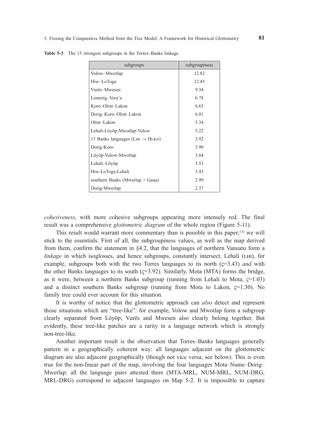| subgroups                                   | subgroupiness |
|---------------------------------------------|---------------|
| Volow-Mwotlap                               | 12.82         |
| Hiw-LoToga                                  | 12.45         |
| Vurës-Mwesen                                | 9.34          |
| Lemerig-Vera'a                              | 6.78          |
| Koro-Olrat-Lakon                            | 6.63          |
| Dorig-Koro-Olrat-Lakon                      | 6.01          |
| Olrat-Lakon                                 | 5.34          |
| Lehali-Löyöp-Mwotlap-Volow                  | 5.22          |
| 15 Banks languages (LHI $\rightarrow$ HLKN) | 3.92          |
| Dorig-Koro                                  | 3.90          |
| Löyöp-Volow-Mwotlap                         | 3.64          |
| Lehali–Löyöp                                | 3.53          |
| Hiw-LoToga-Lehali                           | 3.43          |
| southern Banks (Mwerlap + Gaua)             | 2.99          |
| Dorig-Mwerlap                               | 2.37          |

**Table 5-3** The 15 strongest subgroups in the Torres–Banks linkage

*cohesiveness*, with more cohesive subgroups appearing more intensely red. The final result was a comprehensive *glottometric diagram* of the whole region (Figure 5-11).

This result would warrant more commentary than is possible in this paper;<sup>13)</sup> we will stick to the essentials. First of all, the subgroupiness values, as well as the map derived from them, confirm the statement in §4.2, that the languages of northern Vanuatu form a *linkage* in which isoglosses, and hence subgroups, constantly intersect. Lehali (LHI), for example, subgroups both with the two Torres languages to its north  $(5-3.43)$  *and* with the other Banks languages to its south  $(5-3.92)$ . Similarly, Mota (MTA) forms the bridge, as it were, between a northern Banks subgroup (running from Lehali to Mota,  $\epsilon$ =1.03) and a distinct southern Banks subgroup (running from Mota to Lakon,  $\zeta$ =1.30). No family tree could ever account for this situation.

It is worthy of notice that the glottometric approach can *also* detect and represent those situations which are "tree-like": for example, Volow and Mwotlap form a subgroup clearly separated from Löyöp; Vurës and Mwesen also clearly belong together. But evidently, these tree-like patches are a rarity in a language network which is strongly non-tree-like.

Another important result is the observation that Torres–Banks languages generally pattern in a geographically coherent way: all languages adjacent on the glottometric diagram are also adjacent geographically (though not vice versa; see below). This is even true for the non-linear part of the map, involving the four languages Mota–Nume–Dorig– Mwerlap: all the language pairs attested there (MTA-MRL, NUM-MRL, NUM-DRG, MRL-DRG) correspond to adjacent languages on Map 5-2. It is impossible to capture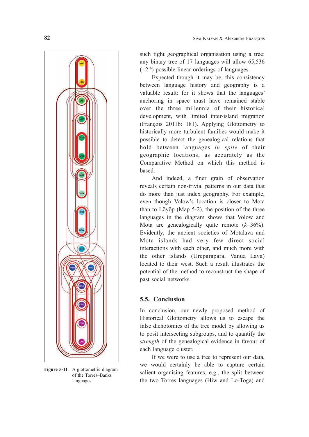

**Figure 5-11** A glottometric diagram of the Torres–Banks languages

such tight geographical organisation using a tree: any binary tree of 17 languages will allow 65,536  $(=2^{16})$  possible linear orderings of languages.

Expected though it may be, this consistency between language history and geography is a valuable result: for it shows that the languages' anchoring in space must have remained stable over the three millennia of their historical development, with limited inter-island migration (François 2011b: 181). Applying Glottometry to historically more turbulent families would make it possible to detect the genealogical relations that hold between languages *in spite* of their geographic locations, as accurately as the Comparative Method on which this method is based.

And indeed, a finer grain of observation reveals certain non-trivial patterns in our data that do more than just index geography. For example, even though Volow's location is closer to Mota than to Löyöp (Map 5-2), the position of the three languages in the diagram shows that Volow and Mota are genealogically quite remote (*k*=36%). Evidently, the ancient societies of Motalava and Mota islands had very few direct social interactions with each other, and much more with the other islands (Ureparapara, Vanua Lava) located to their west. Such a result illustrates the potential of the method to reconstruct the shape of past social networks.

# **5.5. Conclusion**

In conclusion, our newly proposed method of Historical Glottometry allows us to escape the false dichotomies of the tree model by allowing us to posit intersecting subgroups, and to quantify the *strength* of the genealogical evidence in favour of each language cluster.

If we were to use a tree to represent our data, we would certainly be able to capture certain salient organising features, e.g., the split between the two Torres languages (Hiw and Lo-Toga) and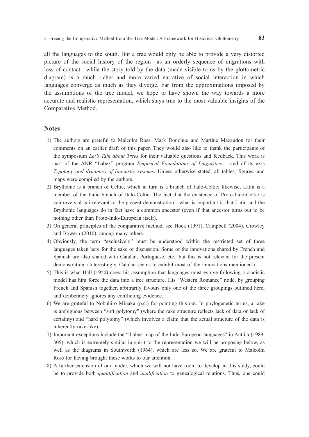all the languages to the south. But a tree would only be able to provide a very distorted picture of the social history of the region—as an orderly sequence of migrations with loss of contact—while the story told by the data (made visible to us by the glottometric diagram) is a much richer and more varied narrative of social interaction in which languages converge as much as they diverge. Far from the approximations imposed by the assumptions of the tree model, we hope to have shown the way towards a more accurate and realistic representation, which stays true to the most valuable insights of the Comparative Method.

### **Notes**

- 1) The authors are grateful to Malcolm Ross, Mark Donohue and Martine Mazaudon for their comments on an earlier draft of this paper. They would also like to thank the participants of the symposium *Let's Talk about Trees* for their valuable questions and feedback. This work is part of the ANR "Labex" program *Empirical Foundations of Linguistics* – and of its axis *Typology and dynamics of linguistic systems*. Unless otherwise stated, all tables, figures, and maps were compiled by the authors.
- 2) Brythonic is a branch of Celtic, which in turn is a branch of Italo-Celtic; likewise, Latin is a member of the Italic branch of Italo-Celtic. The fact that the existence of Proto-Italo-Celtic is controversial is irrelevant to the present demonstration—what is important is that Latin and the Brythonic languages do in fact have a common ancestor (even if that ancestor turns out to be nothing other than Proto-Indo-European itself).
- 3) On general principles of the comparative method, see Hock (1991), Campbell (2004), Crowley and Bowern (2010), among many others.
- 4) Obviously, the term "exclusively" must be understood within the restricted set of three languages taken here for the sake of discussion. Some of the innovations shared by French and Spanish are also shared with Catalan, Portuguese, etc., but this is not relevant for the present demonstration. (Interestingly, Catalan seems to exhibit most of the innovations mentioned.)
- 5) This is what Hall (1950) does: his assumption that languages must evolve following a cladistic model has him force the data into a tree structure. His "Western Romance" node, by grouping French and Spanish together, arbitrarily favours only one of the three groupings outlined here, and deliberately ignores any conflicting evidence.
- 6) We are grateful to Nobuhiro Minaka (p.c.) for pointing this out. In phylogenetic terms, a rake is ambiguous between "soft polytomy" (where the rake structure reflects lack of data or lack of certainty) and "hard polytomy" (which involves a claim that the actual structure of the data is inherently rake-like).
- 7) Important exceptions include the "dialect map of the Indo-European languages" in Anttila (1989: 305), which is extremely similar in spirit to the representation we will be proposing below, as well as the diagrams in Southworth (1964), which are less so. We are grateful to Malcolm Ross for having brought these works to our attention.
- 8) A further extension of our model, which we will not have room to develop in this study, could be to provide both *quantification* and *qualification* to genealogical relations. Thus, one could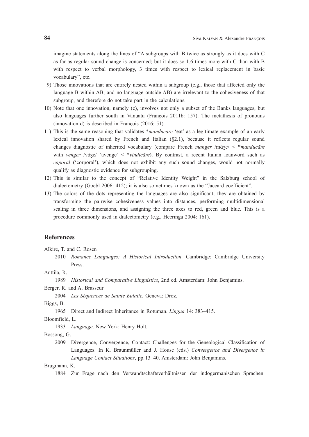imagine statements along the lines of "A subgroups with B twice as strongly as it does with C as far as regular sound change is concerned; but it does so 1.6 times more with C than with B with respect to verbal morphology, 3 times with respect to lexical replacement in basic vocabulary", etc.

- 9) Those innovations that are entirely nested within a subgroup (e.g., those that affected only the language B within AB, and no language outside AB) are irrelevant to the cohesiveness of that subgroup, and therefore do not take part in the calculations.
- 10) Note that one innovation, namely (c), involves not only a subset of the Banks languages, but also languages further south in Vanuatu (François 2011b: 157). The metathesis of pronouns (innovation d) is described in François (2016: 51).
- 11) This is the same reasoning that validates \**manducāre* 'eat' as a legitimate example of an early lexical innovation shared by French and Italian (§2.1), because it reflects regular sound changes diagnostic of inherited vocabulary (compare French *manger* /mɑ̃ ʒe/ < \**manducāre* with *venger* /vɑ̃ ʒe/ 'avenge' < \**vindicāre*). By contrast, a recent Italian loanword such as *caporal* ('corporal'), which does not exhibit any such sound changes, would not normally qualify as diagnostic evidence for subgrouping.
- 12) This is similar to the concept of "Relative Identity Weight" in the Salzburg school of dialectometry (Goebl 2006: 412); it is also sometimes known as the "Jaccard coefficient".
- 13) The colors of the dots representing the languages are also significant; they are obtained by transforming the pairwise cohesiveness values into distances, performing multidimensional scaling in three dimensions, and assigning the three axes to red, green and blue. This is a procedure commonly used in dialectometry (e.g., Heeringa 2004: 161).

# **References**

Alkire, T. and C. Rosen

 2010 *Romance Languages: A Historical Introduction*. Cambridge: Cambridge University Press.

Anttila, R.

1989 *Historical and Comparative Linguistics*, 2nd ed. Amsterdam: John Benjamins.

Berger, R. and A. Brasseur

2004 *Les Séquences de Sainte Eulalie.* Geneva: Droz.

Biggs, B.

1965 Direct and Indirect Inheritance in Rotuman. *Lingua* 14: 383–415.

Bloomfield, L.

1933 *Language*. New York: Henry Holt.

Bossong, G.

 2009 Divergence, Convergence, Contact: Challenges for the Genealogical Classification of Languages. In K. Braunmüller and J. House (eds.) *Convergence and Divergence in Language Contact Situations*, pp.13–40. Amsterdam: John Benjamins.

Brugmann, K.

1884 Zur Frage nach den Verwandtschaftsverhältnissen der indogermanischen Sprachen.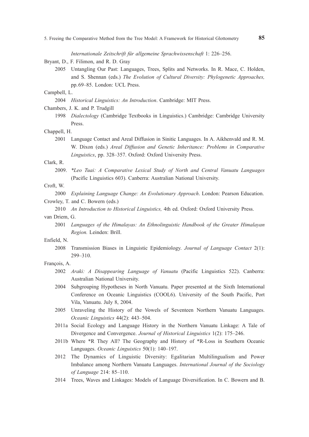*Internationale Zeitschrift für allgemeine Sprachwissenschaft* 1: 226–256.

Bryant, D., F. Filimon, and R. D. Gray

 2005 Untangling Our Past: Languages, Trees, Splits and Networks. In R. Mace, C. Holden, and S. Shennan (eds.) *The Evolution of Cultural Diversity: Phylogenetic Approaches,*  pp.69–85. London: UCL Press.

### Campbell, L.

2004 *Historical Linguistics: An Introduction*. Cambridge: MIT Press.

Chambers, J. K. and P. Trudgill

 1998 *Dialectology* (Cambridge Textbooks in Linguistics.) Cambridge: Cambridge University Press.

### Chappell, H.

 2001 Language Contact and Areal Diffusion in Sinitic Languages. In A. Aikhenvald and R. M. W. Dixon (eds.) *Areal Diffusion and Genetic Inheritance: Problems in Comparative Linguistics*, pp. 328–357. Oxford: Oxford University Press.

#### Clark, R.

 2009. *\*Leo Tuai: A Comparative Lexical Study of North and Central Vanuatu Languages* (Pacific Linguistics 603). Canberra: Australian National University.

### Croft, W.

2000 *Explaining Language Change: An Evolutionary Approach*. London: Pearson Education.

- Crowley, T. and C. Bowern (eds.)
	- 2010 *An Introduction to Historical Linguistics,* 4th ed. Oxford: Oxford University Press.
- van Driem, G.
	- 2001 *Languages of the Himalayas: An Ethnolinguistic Handbook of the Greater Himalayan Region.* Leinden: Brill.

#### Enfield, N.

 2008 Transmission Biases in Linguistic Epidemiology. *Journal of Language Contact* 2(1): 299–310.

### François, A.

- 2002 *Araki: A Disappearing Language of Vanuatu* (Pacific Linguistics 522). Canberra: Australian National University.
- 2004 Subgrouping Hypotheses in North Vanuatu. Paper presented at the Sixth International Conference on Oceanic Linguistics (COOL6). University of the South Pacific, Port Vila, Vanuatu. July 8, 2004.
- 2005 Unraveling the History of the Vowels of Seventeen Northern Vanuatu Languages. *Oceanic Linguistics* 44(2): 443–504.
- 2011a Social Ecology and Language History in the Northern Vanuatu Linkage: A Tale of Divergence and Convergence. *Journal of Historical Linguistics* 1(2): 175–246.
- 2011b Where \*R They All? The Geography and History of \*R-Loss in Southern Oceanic Languages. *Oceanic Linguistics* 50(1): 140–197.
- 2012 The Dynamics of Linguistic Diversity: Egalitarian Multilingualism and Power Imbalance among Northern Vanuatu Languages. *International Journal of the Sociology of Language* 214: 85–110.
- 2014 Trees, Waves and Linkages: Models of Language Diversification. In C. Bowern and B.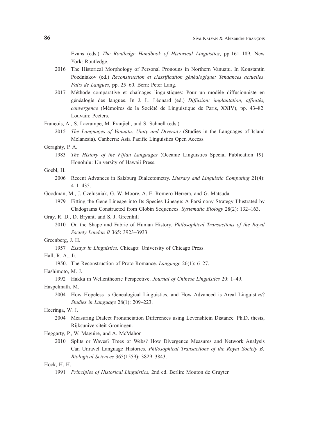Evans (eds.) *The Routledge Handbook of Historical Linguistics*, pp.161–189. New York: Routledge.

- 2016 The Historical Morphology of Personal Pronouns in Northern Vanuatu. In Konstantin Pozdniakov (ed.) *Reconstruction et classification généalogique: Tendances actuelles*. *Faits de Langues*, pp. 25–60. Bern: Peter Lang.
- 2017 Méthode comparative et chaînages linguistiques: Pour un modèle diffusionniste en généalogie des langues. In J. L. Léonard (ed.) *Diffusion: implantation, affinités, convergence* (Mémoires de la Société de Linguistique de Paris, XXIV), pp. 43–82. Louvain: Peeters.

François, A., S. Lacrampe, M. Franjieh, and S. Schnell (eds.)

 2015 *The Languages of Vanuatu: Unity and Diversity* (Studies in the Languages of Island Melanesia). Canberra: Asia Pacific Linguistics Open Access.

#### Geraghty, P. A.

 1983 *The History of the Fijian Languages* (Oceanic Linguistics Special Publication 19). Honolulu: University of Hawaii Press.

#### Goebl, H.

- 2006 Recent Advances in Salzburg Dialectometry. *Literary and Linguistic Computing* 21(4): 411–435.
- Goodman, M., J. Czelusniak, G. W. Moore, A. E. Romero-Herrera, and G. Matsuda
	- 1979 Fitting the Gene Lineage into Its Species Lineage: A Parsimony Strategy Illustrated by Cladograms Constructed from Globin Sequences. *Systematic Biology* 28(2): 132–163.
- Gray, R. D., D. Bryant, and S. J. Greenhill
	- 2010 On the Shape and Fabric of Human History. *Philosophical Transactions of the Royal Society London B* 365: 3923–3933.

#### Greenberg, J. H.

- 1957 *Essays in Linguistics.* Chicago: University of Chicago Press.
- Hall, R. A., Jr.
	- 1950. The Reconstruction of Proto-Romance. *Language* 26(1): 6–27.

Hashimoto, M. J.

1992 Hakka in Wellentheorie Perspective. *Journal of Chinese Linguistics* 20: 1–49.

Haspelmath, M.

 2004 How Hopeless is Genealogical Linguistics, and How Advanced is Areal Linguistics? *Studies in Language* 28(1): 209–223.

### Heeringa, W. J.

 2004 Measuring Dialect Pronunciation Differences using Levenshtein Distance*.* Ph.D. thesis, Rijksuniversiteit Groningen.

#### Heggarty, P., W. Maguire, and A. McMahon

 2010 Splits or Waves? Trees or Webs? How Divergence Measures and Network Analysis Can Unravel Language Histories. *Philosophical Transactions of the Royal Society B: Biological Sciences* 365(1559): 3829–3843.

# Hock, H. H.

1991 *Principles of Historical Linguistics,* 2nd ed. Berlin: Mouton de Gruyter.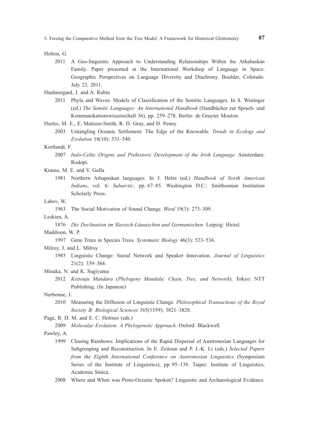Holton, G.

 2011 A Geo-linguistic Approach to Understanding Relationships Within the Athabaskan Family. Paper presented at the International Workshop of Language in Space: Geographic Perspectives on Language Diversity and Diachrony. Boulder, Colorado. July 23, 2011.

Huehnergard, J. and A. Rubin

 2011 Phyla and Waves: Models of Classification of the Semitic Languages. In S. Weninger (ed.) *The Semitic Languages: An International Handbook* (Handbücher zur Sprach- und Kommunikationswissenschaft 36), pp. 259–278. Berlin: de Gruyter Mouton.

Hurles, M. E., E. Matisoo-Smith, R. D. Gray, and D. Penny

 2003 Untangling Oceanic Settlement: The Edge of the Knowable. *Trends in Ecology and Evolution* 18(10): 531–540.

#### Kortlandt, F.

- 2007 *Italo-Celtic Origins and Prehistoric Development of the Irish Language.* Amsterdam: Rodopi.
- Krauss, M. E. and V. Golla
	- 1981 Northern Athapaskan languages. In J. Helm (ed.) *Handbook of North American Indians*, vol. 6: *Subarctic*, pp. 67–85. Washington D.C.: Smithsonian Institution Scholarly Press.

#### Labov, W.

1963 The Social Motivation of Sound Change. *Word* 19(3): 273–309.

Leskien, A.

1876 *Die Declination im Slavisch-Litauischen und Germanischen.* Leipzig: Hirzel.

Maddison, W. P.

1997 Gene Trees in Species Trees. *Systematic Biology* 46(3): 523–536.

Milroy, J. and L. Milroy

- 1985 Linguistic Change: Social Network and Speaker Innovation. *Journal of Linguistics* 21(2): 339–384.
- Minaka, N. and K. Sugiyama
	- 2012 *Keitouju Mandara* (*Phylogeny Mandala: Chain, Tree, and Network*). Tokyo: NTT Publishing. (In Japanese)
- Nerbonne, J.
	- 2010 Measuring the Diffusion of Linguistic Change. *Philosophical Transactions of the Royal Society B: Biological Sciences* 365(1559): 3821–3828.

Page, R. D. M. and E. C. Holmes (eds.)

2009 *Molecular Evolution: A Phylogenetic Approach.* Oxford: Blackwell.

Pawley, A.

- 1999 Chasing Rainbows: Implications of the Rapid Dispersal of Austronesian Languages for Subgrouping and Reconstruction. In E. Zeitoun and P. J.-K. Li (eds.) *Selected Papers from the Eighth International Conference on Austronesian Linguistics* (Symposium Series of the Institute of Linguistics), pp. 95–138. Taipei: Institute of Linguistics, Academia Sinica.
- 2008 Where and When was Proto-Oceanic Spoken? Linguistic and Archaeological Evidence.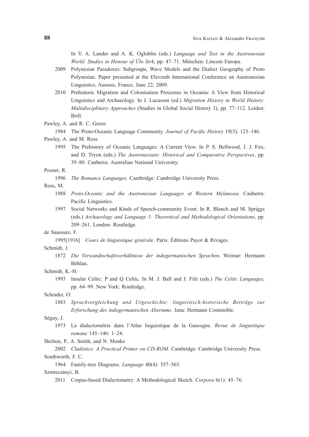In Y. A. Lander and A. K. Ogloblin (eds.) *Language and Text in the Austronesian World: Studies in Honour of Ülo Sirk*, pp. 47–71. München: Lincom Europa.

- 2009 Polynesian Paradoxes: Subgroups, Wave Models and the Dialect Geography of Proto Polynesian. Paper presented at the Eleventh International Conference on Austronesian Linguistics, Aussois, France, June 22, 2009.
- 2010 Prehistoric Migration and Colonisation Processes in Oceania: A View from Historical Linguistics and Archaeology. In J. Lucassen (ed.) *Migration History in World History: Multidisciplinary Approaches* (Studies in Global Social History 3), pp. 77–112. Leiden: Brill.
- Pawley, A. and R. C. Green
	- 1984 The Proto-Oceanic Language Community. *Journal of Pacific History* 19(3): 123–146.
- Pawley, A. and M. Ross
	- 1995 The Prehistory of Oceanic Languages: A Current View. In P. S. Bellwood, J. J. Fox, and D. Tryon (eds.) *The Austronesians: Historical and Comparative Perspectives*, pp. 39–80. Canberra: Australian National University.

#### Posner, R.

- 1996 *The Romance Languages.* Cambridge: Cambridge University Press.
- Ross, M.
	- 1988 *Proto-Oceanic and the Austronesian Languages of Western Melanesia.* Canberra: Pacific Linguistics.
	- 1997 Social Networks and Kinds of Speech-community Event. In R. Blench and M. Spriggs (eds.) *Archaeology and Language 1: Theoretical and Methodological Orientations*, pp. 209–261. London: Routledge.

#### de Saussure, F.

1995[1916] *Cours de linguistique générale*. Paris: Éditions Payot & Rivages.

# Schmidt, J.

 1872 *Die Verwandtschaftsverhältnisse der indogermanischen Sprachen*. Weimar: Hermann Böhlau.

# Schmidt, K.-H.

 1993 Insular Celtic: P and Q Celtic. In M. J. Ball and J. Fife (eds.) *The Celtic Languages,* pp. 64–99. New York: Routledge.

#### Schrader, O.

 1883 *Sprachvergleichung und Urgeschichte: linguistisch-historische Beiträge zur Erforschung des indogermanischen Altertums.* Jena: Hermann Costenoble.

### Séguy, J.

 1973 La dialectométrie dans l'Atlas linguistique de la Gascogne. *Revue de linguistique romane* 145–146: 1–24.

Skelton, P., A. Smith, and N. Monks

- 2002 *Cladistics: A Practical Primer on CD-ROM*. Cambridge: Cambridge University Press. Southworth, F. C.
	- 1964 Family-tree Diagrams. *Language* 40(4): 557–565.

#### Szmrecsányi, B.

2011 Corpus-based Dialectometry: A Methodological Sketch. *Corpora* 6(1): 45–76.